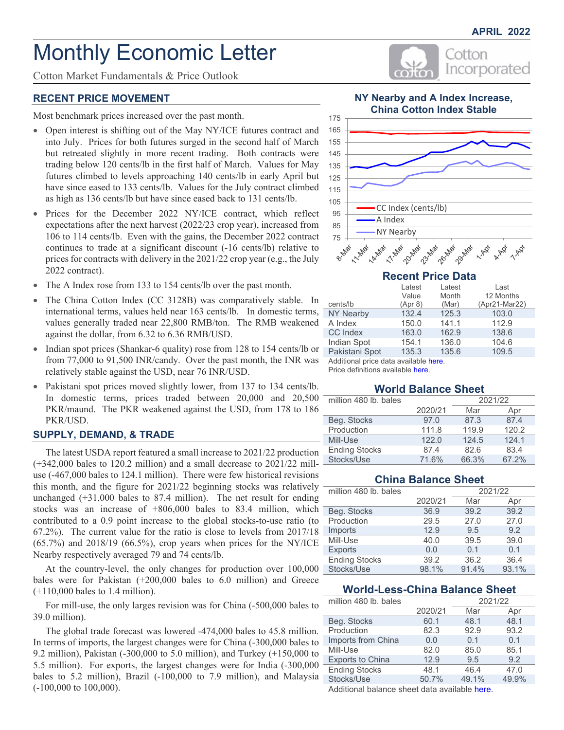Incorporated

Cotton

# Monthly Economic Letter

Cotton Market Fundamentals & Price Outlook

#### **RECENT PRICE MOVEMENT**

Most benchmark prices increased over the past month.

- Open interest is shifting out of the May NY/ICE futures contract and into July. Prices for both futures surged in the second half of March but retreated slightly in more recent trading. Both contracts were trading below 120 cents/lb in the first half of March. Values for May futures climbed to levels approaching 140 cents/lb in early April but have since eased to 133 cents/lb. Values for the July contract climbed as high as 136 cents/lb but have since eased back to 131 cents/lb.
- Prices for the December 2022 NY/ICE contract, which reflect expectations after the next harvest (2022/23 crop year), increased from 106 to 114 cents/lb. Even with the gains, the December 2022 contract continues to trade at a significant discount (-16 cents/lb) relative to prices for contracts with delivery in the 2021/22 crop year (e.g., the July 2022 contract).
- The A Index rose from 133 to 154 cents/lb over the past month.
- The China Cotton Index (CC 3128B) was comparatively stable. In international terms, values held near 163 cents/lb. In domestic terms, values generally traded near 22,800 RMB/ton. The RMB weakened against the dollar, from 6.32 to 6.36 RMB/USD.
- Indian spot prices (Shankar-6 quality) rose from 128 to 154 cents/lb or from 77,000 to 91,500 INR/candy. Over the past month, the INR was relatively stable against the USD, near 76 INR/USD.
- Pakistani spot prices moved slightly lower, from 137 to 134 cents/lb. In domestic terms, prices traded between 20,000 and 20,500 PKR/maund. The PKR weakened against the USD, from 178 to 186 PKR/USD.

#### **SUPPLY, DEMAND, & TRADE**

The latest USDA report featured a small increase to 2021/22 production (+342,000 bales to 120.2 million) and a small decrease to 2021/22 milluse (-467,000 bales to 124.1 million). There were few historical revisions this month, and the figure for 2021/22 beginning stocks was relatively unchanged (+31,000 bales to 87.4 million). The net result for ending stocks was an increase of +806,000 bales to 83.4 million, which contributed to a 0.9 point increase to the global stocks-to-use ratio (to 67.2%). The current value for the ratio is close to levels from 2017/18  $(65.7%)$  and  $2018/19$   $(66.5%)$ , crop years when prices for the NY/ICE Nearby respectively averaged 79 and 74 cents/lb.

At the country-level, the only changes for production over 100,000 bales were for Pakistan (+200,000 bales to 6.0 million) and Greece (+110,000 bales to 1.4 million).

For mill-use, the only larges revision was for China (-500,000 bales to 39.0 million).

The global trade forecast was lowered -474,000 bales to 45.8 million. In terms of imports, the largest changes were for China (-300,000 bales to 9.2 million), Pakistan (-300,000 to 5.0 million), and Turkey (+150,000 to 5.5 million). For exports, the largest changes were for India (-300,000 bales to 5.2 million), Brazil (-100,000 to 7.9 million), and Malaysia (-100,000 to 100,000).



## **Recent Price Data**

|                  | Latest  | Latest | Last          |
|------------------|---------|--------|---------------|
|                  | Value   | Month  | 12 Months     |
| cents/lb         | (Apr 8) | (Mar)  | (Apr21-Mar22) |
| <b>NY Nearby</b> | 132.4   | 125.3  | 103.0         |
| A Index          | 150.0   | 141.1  | 112.9         |
| <b>CC</b> Index  | 163.0   | 162.9  | 138.6         |
| Indian Spot      | 154.1   | 136.0  | 104.6         |
| Pakistani Spot   | 135.3   | 135.6  | 109.5         |

Additional price data [available here.](#page-2-0)

Price definitions [available here.](https://www.cottoninc.com/market-data/monthly-economic-newsletter/cotton-price-definitions/)

#### **World Balance Sheet**

| million 480 lb. bales |         | 2021/22 |       |  |  |
|-----------------------|---------|---------|-------|--|--|
|                       | 2020/21 | Mar     | Apr   |  |  |
| Beg. Stocks           | 97.0    | 87.3    | 87.4  |  |  |
| Production            | 111.8   | 119.9   | 120.2 |  |  |
| Mill-Use              | 122.0   | 124.5   | 124.1 |  |  |
| <b>Ending Stocks</b>  | 87.4    | 82.6    | 83.4  |  |  |
| Stocks/Use            | 71.6%   | 66.3%   | 67.2% |  |  |

## **China Balance Sheet**

| million 480 lb. bales |         | 2021/22 |       |  |
|-----------------------|---------|---------|-------|--|
|                       | 2020/21 | Mar     | Apr   |  |
| Beg. Stocks           | 36.9    | 39.2    | 39.2  |  |
| Production            | 29.5    | 27.0    | 27.0  |  |
| Imports               | 12.9    | 9.5     | 9.2   |  |
| Mill-Use              | 40.0    | 39.5    | 39.0  |  |
| <b>Exports</b>        | 0.0     | 0.1     | 0.1   |  |
| <b>Ending Stocks</b>  | 39.2    | 36.2    | 36.4  |  |
| Stocks/Use            | 98.1%   | 91.4%   | 93.1% |  |

## **World-Less-China Balance Sheet**

| million 480 lb. bales   | 2021/22 |       |       |  |
|-------------------------|---------|-------|-------|--|
|                         | 2020/21 | Mar   | Apr   |  |
| Beg. Stocks             | 60.1    | 48.1  | 48.1  |  |
| Production              | 82.3    | 92.9  | 93.2  |  |
| Imports from China      | 0.0     | 0.1   | 0.1   |  |
| Mill-Use                | 82.0    | 85.0  | 85.1  |  |
| <b>Exports to China</b> | 12.9    | 9.5   | 9.2   |  |
| <b>Ending Stocks</b>    | 48.1    | 46.4  | 47.0  |  |
| Stocks/Use              | 50.7%   | 49.1% | 49.9% |  |

Additional balance sheet data [available here.](#page-6-0)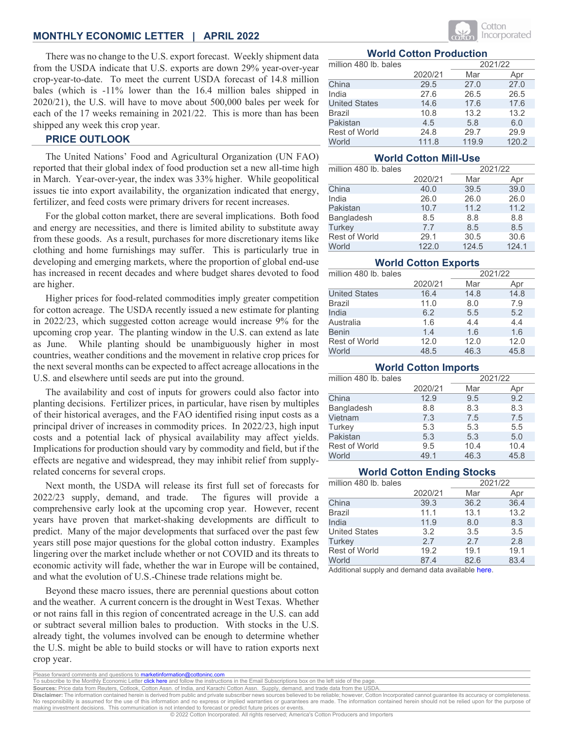#### **MONTHLY ECONOMIC LETTER | APRIL 2022**

There was no change to the U.S. export forecast. Weekly shipment data from the USDA indicate that U.S. exports are down 29% year-over-year crop-year-to-date. To meet the current USDA forecast of 14.8 million bales (which is -11% lower than the 16.4 million bales shipped in 2020/21), the U.S. will have to move about 500,000 bales per week for each of the 17 weeks remaining in 2021/22. This is more than has been shipped any week this crop year.

## **PRICE OUTLOOK**

The United Nations' Food and Agricultural Organization (UN FAO) reported that their global index of food production set a new all-time high in March. Year-over-year, the index was 33% higher. While geopolitical issues tie into export availability, the organization indicated that energy, fertilizer, and feed costs were primary drivers for recent increases.

For the global cotton market, there are several implications. Both food and energy are necessities, and there is limited ability to substitute away from these goods. As a result, purchases for more discretionary items like clothing and home furnishings may suffer. This is particularly true in developing and emerging markets, where the proportion of global end-use has increased in recent decades and where budget shares devoted to food are higher.

Higher prices for food-related commodities imply greater competition for cotton acreage. The USDA recently issued a new estimate for planting in 2022/23, which suggested cotton acreage would increase 9% for the upcoming crop year. The planting window in the U.S. can extend as late as June. While planting should be unambiguously higher in most countries, weather conditions and the movement in relative crop prices for the next several months can be expected to affect acreage allocations in the U.S. and elsewhere until seeds are put into the ground.

The availability and cost of inputs for growers could also factor into planting decisions. Fertilizer prices, in particular, have risen by multiples of their historical averages, and the FAO identified rising input costs as a principal driver of increases in commodity prices. In 2022/23, high input costs and a potential lack of physical availability may affect yields. Implications for production should vary by commodity and field, but if the effects are negative and widespread, they may inhibit relief from supplyrelated concerns for several crops.

Next month, the USDA will release its first full set of forecasts for 2022/23 supply, demand, and trade. The figures will provide a comprehensive early look at the upcoming crop year. However, recent years have proven that market-shaking developments are difficult to predict. Many of the major developments that surfaced over the past few years still pose major questions for the global cotton industry. Examples lingering over the market include whether or not COVID and its threats to economic activity will fade, whether the war in Europe will be contained, and what the evolution of U.S.-Chinese trade relations might be.

Beyond these macro issues, there are perennial questions about cotton and the weather. A current concern is the drought in West Texas. Whether or not rains fall in this region of concentrated acreage in the U.S. can add or subtract several million bales to production. With stocks in the U.S. already tight, the volumes involved can be enough to determine whether the U.S. might be able to build stocks or will have to ration exports next crop year.



#### **World Cotton Production**

| million 480 lb. bales |         | 2021/22 |       |  |
|-----------------------|---------|---------|-------|--|
|                       | 2020/21 | Mar     | Apr   |  |
| China                 | 29.5    | 27.0    | 27.0  |  |
| India                 | 27.6    | 26.5    | 26.5  |  |
| <b>United States</b>  | 14.6    | 17.6    | 17.6  |  |
| <b>Brazil</b>         | 10.8    | 13.2    | 13.2  |  |
| Pakistan              | 4.5     | 5.8     | 6.0   |  |
| <b>Rest of World</b>  | 24.8    | 29.7    | 29.9  |  |
| World                 | 111.8   | 119.9   | 120.2 |  |

#### **World Cotton Mill-Use**

| million 480 lb. bales |         | 2021/22 |       |  |
|-----------------------|---------|---------|-------|--|
|                       | 2020/21 | Mar     | Apr   |  |
| China                 | 40.0    | 39.5    | 39.0  |  |
| India                 | 26.0    | 26.0    | 26.0  |  |
| Pakistan              | 10.7    | 11.2    | 11.2  |  |
| Bangladesh            | 8.5     | 8.8     | 8.8   |  |
| Turkey                | 7.7     | 8.5     | 8.5   |  |
| Rest of World         | 29.1    | 30.5    | 30.6  |  |
| World                 | 122.0   | 124.5   | 124.1 |  |

#### **World Cotton Exports**

| million 480 lb. bales |         |      | 2021/22 |
|-----------------------|---------|------|---------|
|                       | 2020/21 | Mar  | Apr     |
| <b>United States</b>  | 16.4    | 14.8 | 14.8    |
| <b>Brazil</b>         | 11.0    | 8.0  | 7.9     |
| India                 | 6.2     | 5.5  | 5.2     |
| Australia             | 1.6     | 4.4  | 4.4     |
| <b>Benin</b>          | 1.4     | 1.6  | 1.6     |
| <b>Rest of World</b>  | 12.0    | 12.0 | 12.0    |
| World                 | 48.5    | 46.3 | 45.8    |

#### **World Cotton Imports**

| million 480 lb. bales |         | 2021/22 |      |  |
|-----------------------|---------|---------|------|--|
|                       | 2020/21 | Mar     | Apr  |  |
| China                 | 12.9    | 9.5     | 9.2  |  |
| Bangladesh            | 8.8     | 8.3     | 8.3  |  |
| Vietnam               | 7.3     | 7.5     | 7.5  |  |
| Turkey                | 5.3     | 5.3     | 5.5  |  |
| Pakistan              | 5.3     | 5.3     | 5.0  |  |
| <b>Rest of World</b>  | 9.5     | 10.4    | 10.4 |  |
| World                 | 49.1    | 46.3    | 45.8 |  |

#### **World Cotton Ending Stocks**

| million 480 lb. bales |         |      | 2021/22 |
|-----------------------|---------|------|---------|
|                       | 2020/21 | Mar  | Apr     |
| China                 | 39.3    | 36.2 | 36.4    |
| <b>Brazil</b>         | 11.1    | 13.1 | 13.2    |
| India                 | 11.9    | 8.0  | 8.3     |
| <b>United States</b>  | 3.2     | 3.5  | 3.5     |
| <b>Turkey</b>         | 2.7     | 2.7  | 2.8     |
| Rest of World         | 19.2    | 19.1 | 19.1    |
| World                 | 87.4    | 82.6 | 83.4    |

Additional supply and demand data [available here.](#page-8-0)

**Sources:** Price data from Reuters, Cotlook, Cotton Assn. of India, and Karachi Cotton Assn. Supply, demand, and trade data from the USDA.

Please forward comments and questions to marketinformation@cottoninc.com<br>To subscribe to the Monthly Economic Letter click here and follow the instruction be to the Monthly Economic Letter *click here and follow the instructions in the Email Subscriptions box on the left side of the page* 

**Disclaimer:** The information contained herein is derived from public and private subscriber news sources believed to be reliable; however, Cotton Incorporated cannot guarantee its accuracy or completeness.<br>No responsibili making investment decisions. This communication is not intended to forecast or predict future prices or events.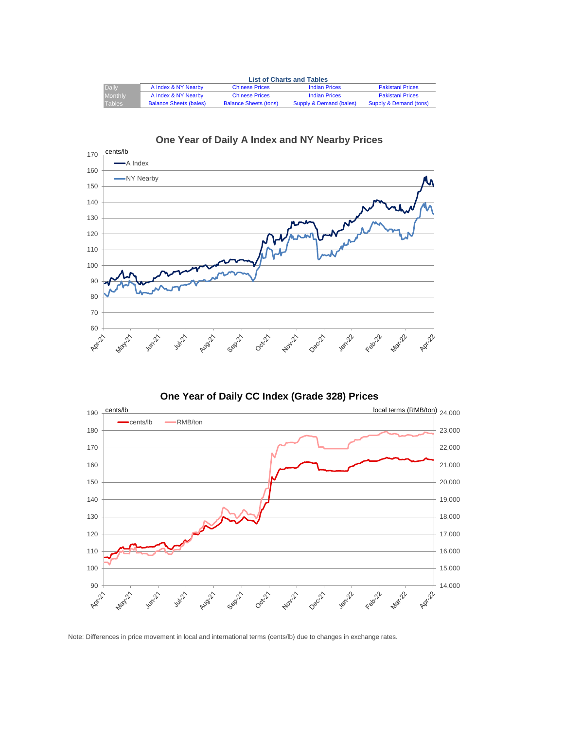<span id="page-2-0"></span>

|                | <b>List of Charts and Tables</b>                                                                |                              |                         |                         |  |  |  |
|----------------|-------------------------------------------------------------------------------------------------|------------------------------|-------------------------|-------------------------|--|--|--|
| Daily          | A Index & NY Nearby<br><b>Pakistani Prices</b><br><b>Indian Prices</b><br><b>Chinese Prices</b> |                              |                         |                         |  |  |  |
| <b>Monthly</b> | A Index & NY Nearby                                                                             | <b>Chinese Prices</b>        | <b>Indian Prices</b>    | <b>Pakistani Prices</b> |  |  |  |
| Tables         | <b>Balance Sheets (bales)</b>                                                                   | <b>Balance Sheets (tons)</b> | Supply & Demand (bales) | Supply & Demand (tons)  |  |  |  |





**One Year of Daily CC Index (Grade 328) Prices**



Note: Differences in price movement in local and international terms (cents/lb) due to changes in exchange rates.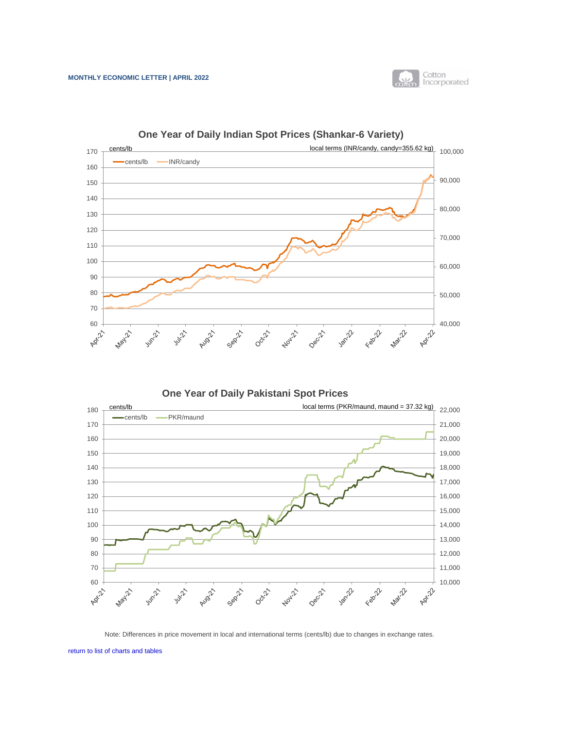

<span id="page-3-0"></span>

**One Year of Daily Indian Spot Prices (Shankar-6 Variety)**

**One Year of Daily Pakistani Spot Prices**



Note: Differences in price movement in local and international terms (cents/lb) due to changes in exchange rates.

[return to list of charts and tables](#page-2-0)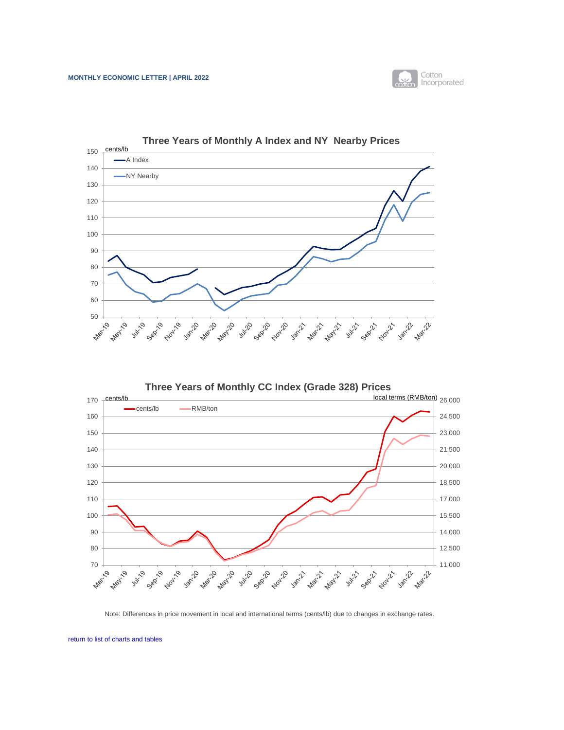

<span id="page-4-0"></span>

**Three Years of Monthly CC Index (Grade 328) Prices** 170 cents/lb local terms (RMB/ton)  $_{26,000}$ cents/lb - RMB/ton 160 24,500 150 23,000 140 21,500 130 20,000 120 18,500 110 17,000 100 15,500 90 14,000 80 12,500  $70 +$ 11,000 **1305-22-2** Sept2. **Hou**ze Marzy's **Hours** Julie 10 **Algill** Jan-10 Mari20 **May 10** Jan-21 Sept11 **Nowledge** May 11 July 21  $\sim$  $\mathcal{O}_{\mathcal{A}}$  $\tilde{\mathcal{S}}$ Sep **PH** 

Note: Differences in price movement in local and international terms (cents/lb) due to changes in exchange rates.

[return to list of charts and tables](#page-2-0)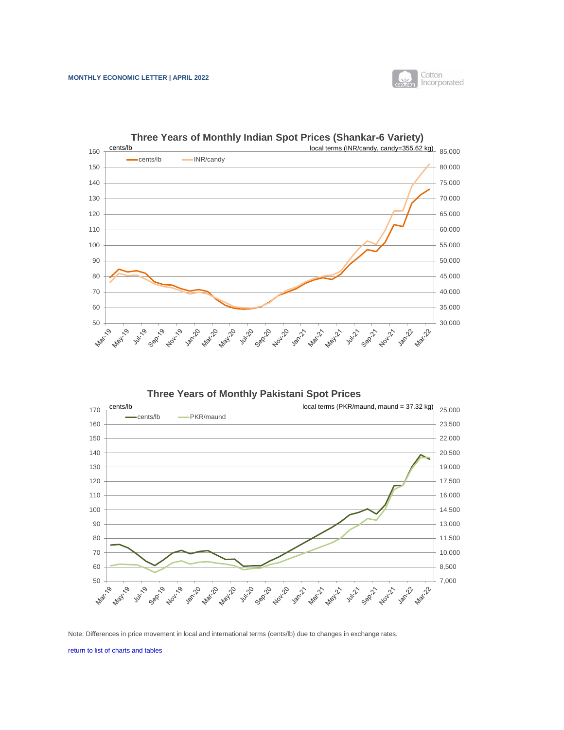

<span id="page-5-0"></span>

**Three Years of Monthly Pakistani Spot Prices**



Note: Differences in price movement in local and international terms (cents/lb) due to changes in exchange rates.

[return to list of charts and tables](#page-2-0)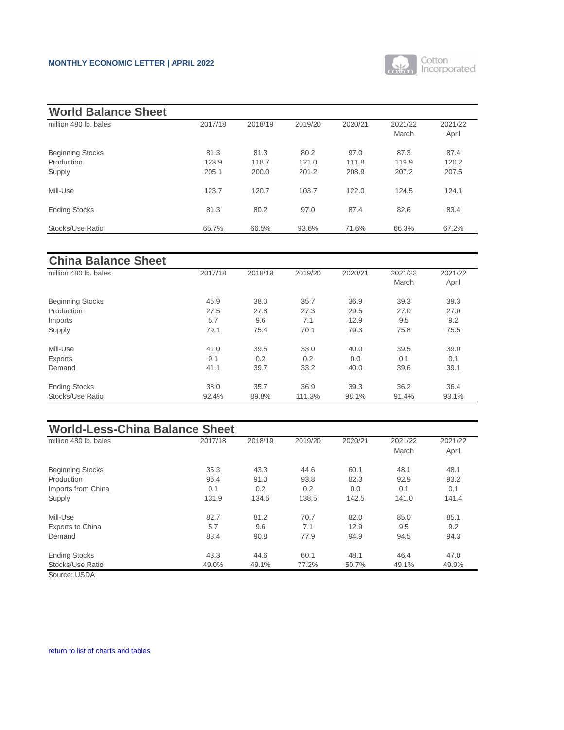#### <span id="page-6-0"></span>**MONTHLY ECONOMIC LETTER | APRIL 2022**



| <b>World Balance Sheet</b>                      |                        |                        |                        |                        |                        |                        |
|-------------------------------------------------|------------------------|------------------------|------------------------|------------------------|------------------------|------------------------|
| million 480 lb. bales                           | 2017/18                | 2018/19                | 2019/20                | 2020/21                | 2021/22<br>March       | 2021/22<br>April       |
| <b>Beginning Stocks</b><br>Production<br>Supply | 81.3<br>123.9<br>205.1 | 81.3<br>118.7<br>200.0 | 80.2<br>121.0<br>201.2 | 97.0<br>111.8<br>208.9 | 87.3<br>119.9<br>207.2 | 87.4<br>120.2<br>207.5 |
| Mill-Use                                        | 123.7                  | 120.7                  | 103.7                  | 122.0                  | 124.5                  | 124.1                  |
| <b>Ending Stocks</b>                            | 81.3                   | 80.2                   | 97.0                   | 87.4                   | 82.6                   | 83.4                   |
| Stocks/Use Ratio                                | 65.7%                  | 66.5%                  | 93.6%                  | 71.6%                  | 66.3%                  | 67.2%                  |

| <b>China Balance Sheet</b> |         |         |         |         |         |         |
|----------------------------|---------|---------|---------|---------|---------|---------|
| million 480 lb. bales      | 2017/18 | 2018/19 | 2019/20 | 2020/21 | 2021/22 | 2021/22 |
|                            |         |         |         |         | March   | April   |
| <b>Beginning Stocks</b>    | 45.9    | 38.0    | 35.7    | 36.9    | 39.3    | 39.3    |
| Production                 | 27.5    | 27.8    | 27.3    | 29.5    | 27.0    | 27.0    |
| Imports                    | 5.7     | 9.6     | 7.1     | 12.9    | 9.5     | 9.2     |
| Supply                     | 79.1    | 75.4    | 70.1    | 79.3    | 75.8    | 75.5    |
| Mill-Use                   | 41.0    | 39.5    | 33.0    | 40.0    | 39.5    | 39.0    |
| Exports                    | 0.1     | 0.2     | 0.2     | 0.0     | 0.1     | 0.1     |
| Demand                     | 41.1    | 39.7    | 33.2    | 40.0    | 39.6    | 39.1    |
| <b>Ending Stocks</b>       | 38.0    | 35.7    | 36.9    | 39.3    | 36.2    | 36.4    |
| Stocks/Use Ratio           | 92.4%   | 89.8%   | 111.3%  | 98.1%   | 91.4%   | 93.1%   |

| <b>World-Less-China Balance Sheet</b> |         |         |         |         |         |         |
|---------------------------------------|---------|---------|---------|---------|---------|---------|
| million 480 lb. bales                 | 2017/18 | 2018/19 | 2019/20 | 2020/21 | 2021/22 | 2021/22 |
|                                       |         |         |         |         | March   | April   |
| <b>Beginning Stocks</b>               | 35.3    | 43.3    | 44.6    | 60.1    | 48.1    | 48.1    |
| Production                            | 96.4    | 91.0    | 93.8    | 82.3    | 92.9    | 93.2    |
| Imports from China                    | 0.1     | 0.2     | 0.2     | 0.0     | 0.1     | 0.1     |
| Supply                                | 131.9   | 134.5   | 138.5   | 142.5   | 141.0   | 141.4   |
| Mill-Use                              | 82.7    | 81.2    | 70.7    | 82.0    | 85.0    | 85.1    |
| <b>Exports to China</b>               | 5.7     | 9.6     | 7.1     | 12.9    | 9.5     | 9.2     |
| Demand                                | 88.4    | 90.8    | 77.9    | 94.9    | 94.5    | 94.3    |
| <b>Ending Stocks</b>                  | 43.3    | 44.6    | 60.1    | 48.1    | 46.4    | 47.0    |
| Stocks/Use Ratio                      | 49.0%   | 49.1%   | 77.2%   | 50.7%   | 49.1%   | 49.9%   |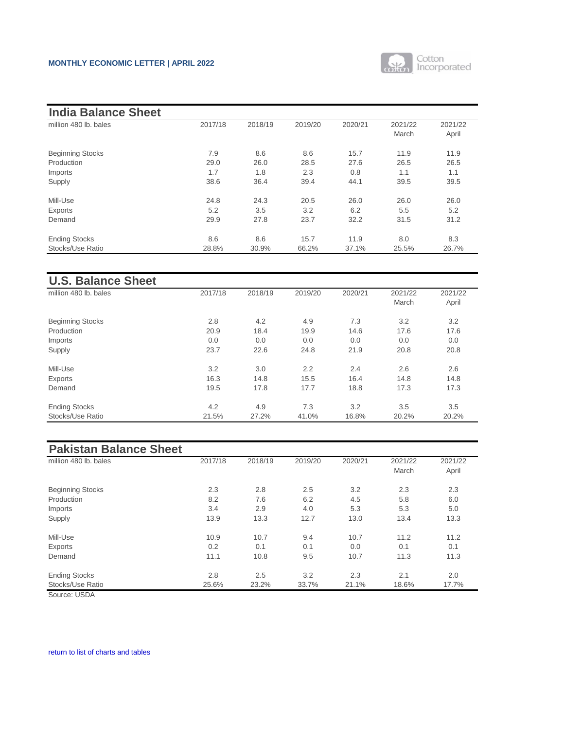

| <b>India Balance Sheet</b> |         |         |         |         |         |         |
|----------------------------|---------|---------|---------|---------|---------|---------|
| million 480 lb. bales      | 2017/18 | 2018/19 | 2019/20 | 2020/21 | 2021/22 | 2021/22 |
|                            |         |         |         |         | March   | April   |
| <b>Beginning Stocks</b>    | 7.9     | 8.6     | 8.6     | 15.7    | 11.9    | 11.9    |
| Production                 | 29.0    | 26.0    | 28.5    | 27.6    | 26.5    | 26.5    |
| Imports                    | 1.7     | 1.8     | 2.3     | 0.8     | 1.1     | 1.1     |
| Supply                     | 38.6    | 36.4    | 39.4    | 44.1    | 39.5    | 39.5    |
| Mill-Use                   | 24.8    | 24.3    | 20.5    | 26.0    | 26.0    | 26.0    |
| Exports                    | 5.2     | 3.5     | 3.2     | 6.2     | 5.5     | 5.2     |
| Demand                     | 29.9    | 27.8    | 23.7    | 32.2    | 31.5    | 31.2    |
| <b>Ending Stocks</b>       | 8.6     | 8.6     | 15.7    | 11.9    | 8.0     | 8.3     |
| Stocks/Use Ratio           | 28.8%   | 30.9%   | 66.2%   | 37.1%   | 25.5%   | 26.7%   |

| <b>U.S. Balance Sheet</b> |         |         |         |         |         |         |
|---------------------------|---------|---------|---------|---------|---------|---------|
| million 480 lb, bales     | 2017/18 | 2018/19 | 2019/20 | 2020/21 | 2021/22 | 2021/22 |
|                           |         |         |         |         | March   | April   |
| <b>Beginning Stocks</b>   | 2.8     | 4.2     | 4.9     | 7.3     | 3.2     | 3.2     |
| Production                | 20.9    | 18.4    | 19.9    | 14.6    | 17.6    | 17.6    |
| Imports                   | 0.0     | 0.0     | 0.0     | 0.0     | 0.0     | 0.0     |
| Supply                    | 23.7    | 22.6    | 24.8    | 21.9    | 20.8    | 20.8    |
| Mill-Use                  | 3.2     | 3.0     | 2.2     | 2.4     | 2.6     | 2.6     |
| Exports                   | 16.3    | 14.8    | 15.5    | 16.4    | 14.8    | 14.8    |
| Demand                    | 19.5    | 17.8    | 17.7    | 18.8    | 17.3    | 17.3    |
| <b>Ending Stocks</b>      | 4.2     | 4.9     | 7.3     | 3.2     | 3.5     | 3.5     |
| Stocks/Use Ratio          | 21.5%   | 27.2%   | 41.0%   | 16.8%   | 20.2%   | 20.2%   |

# **Pakistan Balance Sheet**

| million 480 lb. bales   | 2017/18 | 2018/19 | 2019/20 | 2020/21 | 2021/22 | 2021/22 |
|-------------------------|---------|---------|---------|---------|---------|---------|
|                         |         |         |         |         | March   | April   |
| <b>Beginning Stocks</b> | 2.3     | 2.8     | 2.5     | 3.2     | 2.3     | 2.3     |
| Production              | 8.2     | 7.6     | 6.2     | 4.5     | 5.8     | 6.0     |
| Imports                 | 3.4     | 2.9     | 4.0     | 5.3     | 5.3     | 5.0     |
| Supply                  | 13.9    | 13.3    | 12.7    | 13.0    | 13.4    | 13.3    |
| Mill-Use                | 10.9    | 10.7    | 9.4     | 10.7    | 11.2    | 11.2    |
| Exports                 | 0.2     | 0.1     | 0.1     | 0.0     | 0.1     | 0.1     |
| Demand                  | 11.1    | 10.8    | 9.5     | 10.7    | 11.3    | 11.3    |
| <b>Ending Stocks</b>    | 2.8     | 2.5     | 3.2     | 2.3     | 2.1     | 2.0     |
| Stocks/Use Ratio        | 25.6%   | 23.2%   | 33.7%   | 21.1%   | 18.6%   | 17.7%   |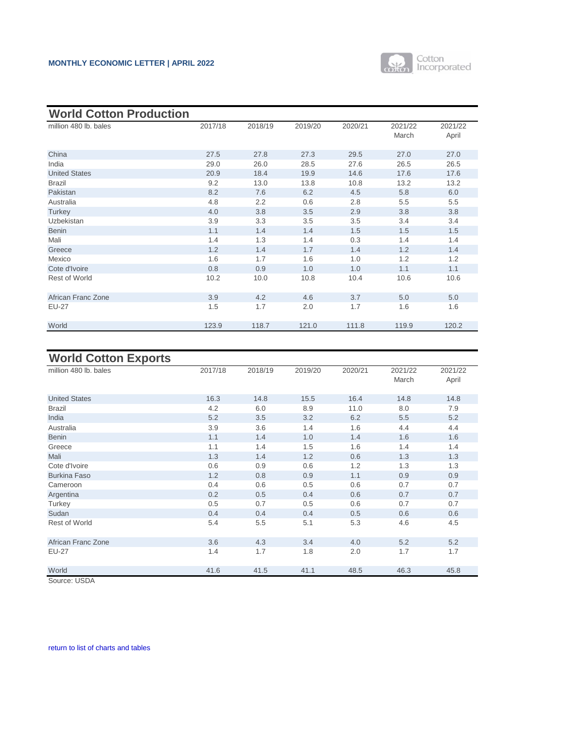

<span id="page-8-0"></span>

| <b>World Cotton Production</b> |         |         |         |         |                  |                  |
|--------------------------------|---------|---------|---------|---------|------------------|------------------|
| million 480 lb. bales          | 2017/18 | 2018/19 | 2019/20 | 2020/21 | 2021/22<br>March | 2021/22<br>April |
| China                          | 27.5    | 27.8    | 27.3    | 29.5    | 27.0             | 27.0             |
| India                          | 29.0    | 26.0    | 28.5    | 27.6    | 26.5             | 26.5             |
| <b>United States</b>           | 20.9    | 18.4    | 19.9    | 14.6    | 17.6             | 17.6             |
| <b>Brazil</b>                  | 9.2     | 13.0    | 13.8    | 10.8    | 13.2             | 13.2             |
| Pakistan                       | 8.2     | 7.6     | 6.2     | 4.5     | 5.8              | 6.0              |
| Australia                      | 4.8     | 2.2     | 0.6     | 2.8     | 5.5              | 5.5              |
| Turkey                         | 4.0     | 3.8     | 3.5     | 2.9     | 3.8              | 3.8              |
| <b>Uzbekistan</b>              | 3.9     | 3.3     | 3.5     | 3.5     | 3.4              | 3.4              |
| <b>Benin</b>                   | 1.1     | 1.4     | 1.4     | 1.5     | 1.5              | 1.5              |
| Mali                           | 1.4     | 1.3     | 1.4     | 0.3     | 1.4              | 1.4              |
| Greece                         | 1.2     | 1.4     | 1.7     | 1.4     | 1.2              | 1.4              |
| Mexico                         | 1.6     | 1.7     | 1.6     | 1.0     | 1.2              | 1.2              |
| Cote d'Ivoire                  | 0.8     | 0.9     | 1.0     | 1.0     | 1.1              | 1.1              |
| <b>Rest of World</b>           | 10.2    | 10.0    | 10.8    | 10.4    | 10.6             | 10.6             |
| African Franc Zone             | 3.9     | 4.2     | 4.6     | 3.7     | 5.0              | 5.0              |
| <b>EU-27</b>                   | 1.5     | 1.7     | 2.0     | 1.7     | 1.6              | 1.6              |
| World                          | 123.9   | 118.7   | 121.0   | 111.8   | 119.9            | 120.2            |

# **World Cotton Exports**

| $\sim$                |         |         |         |         |                  |                  |
|-----------------------|---------|---------|---------|---------|------------------|------------------|
| million 480 lb. bales | 2017/18 | 2018/19 | 2019/20 | 2020/21 | 2021/22<br>March | 2021/22<br>April |
| <b>United States</b>  | 16.3    | 14.8    | 15.5    | 16.4    | 14.8             | 14.8             |
| <b>Brazil</b>         | 4.2     | 6.0     | 8.9     | 11.0    | 8.0              | 7.9              |
| India                 | 5.2     | 3.5     | 3.2     | 6.2     | 5.5              | 5.2              |
| Australia             | 3.9     | 3.6     | 1.4     | 1.6     | 4.4              | 4.4              |
| <b>Benin</b>          | 1.1     | 1.4     | 1.0     | 1.4     | 1.6              | 1.6              |
| Greece                | 1.1     | 1.4     | 1.5     | 1.6     | 1.4              | 1.4              |
| Mali                  | 1.3     | 1.4     | 1.2     | 0.6     | 1.3              | 1.3              |
| Cote d'Ivoire         | 0.6     | 0.9     | 0.6     | 1.2     | 1.3              | 1.3              |
| <b>Burkina Faso</b>   | 1.2     | 0.8     | 0.9     | 1.1     | 0.9              | 0.9              |
| Cameroon              | 0.4     | 0.6     | 0.5     | 0.6     | 0.7              | 0.7              |
| Argentina             | 0.2     | 0.5     | 0.4     | 0.6     | 0.7              | 0.7              |
| Turkey                | 0.5     | 0.7     | 0.5     | 0.6     | 0.7              | 0.7              |
| Sudan                 | 0.4     | 0.4     | 0.4     | 0.5     | 0.6              | 0.6              |
| <b>Rest of World</b>  | 5.4     | 5.5     | 5.1     | 5.3     | 4.6              | 4.5              |
| African Franc Zone    | 3.6     | 4.3     | 3.4     | 4.0     | 5.2              | 5.2              |
| <b>EU-27</b>          | 1.4     | 1.7     | 1.8     | 2.0     | 1.7              | 1.7              |
| World                 | 41.6    | 41.5    | 41.1    | 48.5    | 46.3             | 45.8             |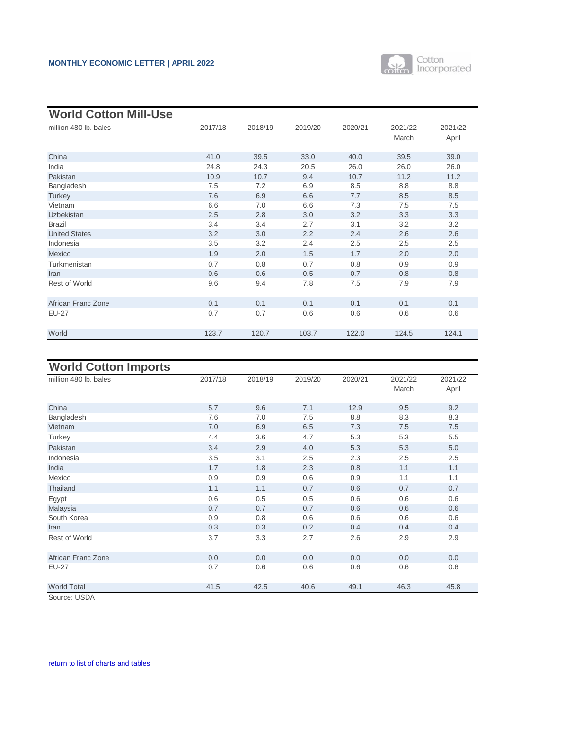

| <b>World Cotton Mill-Use</b> |         |         |         |         |         |         |
|------------------------------|---------|---------|---------|---------|---------|---------|
| million 480 lb. bales        | 2017/18 | 2018/19 | 2019/20 | 2020/21 | 2021/22 | 2021/22 |
|                              |         |         |         |         | March   | April   |
| China                        | 41.0    | 39.5    | 33.0    | 40.0    | 39.5    | 39.0    |
| India                        | 24.8    | 24.3    | 20.5    | 26.0    | 26.0    | 26.0    |
| Pakistan                     | 10.9    | 10.7    | 9.4     | 10.7    | 11.2    | 11.2    |
| Bangladesh                   | 7.5     | 7.2     | 6.9     | 8.5     | 8.8     | 8.8     |
| Turkey                       | 7.6     | 6.9     | 6.6     | 7.7     | 8.5     | 8.5     |
| Vietnam                      | 6.6     | 7.0     | 6.6     | 7.3     | 7.5     | 7.5     |
| <b>Uzbekistan</b>            | 2.5     | 2.8     | 3.0     | 3.2     | 3.3     | 3.3     |
| <b>Brazil</b>                | 3.4     | 3.4     | 2.7     | 3.1     | 3.2     | 3.2     |
| <b>United States</b>         | 3.2     | 3.0     | 2.2     | 2.4     | 2.6     | 2.6     |
| Indonesia                    | 3.5     | 3.2     | 2.4     | 2.5     | 2.5     | 2.5     |
| Mexico                       | 1.9     | 2.0     | 1.5     | 1.7     | 2.0     | 2.0     |
| Turkmenistan                 | 0.7     | 0.8     | 0.7     | 0.8     | 0.9     | 0.9     |
| Iran                         | 0.6     | 0.6     | 0.5     | 0.7     | 0.8     | 0.8     |
| <b>Rest of World</b>         | 9.6     | 9.4     | 7.8     | 7.5     | 7.9     | 7.9     |
| African Franc Zone           | 0.1     | 0.1     | 0.1     | 0.1     | 0.1     | 0.1     |
| <b>EU-27</b>                 | 0.7     | 0.7     | 0.6     | 0.6     | 0.6     | 0.6     |
| World                        | 123.7   | 120.7   | 103.7   | 122.0   | 124.5   | 124.1   |

## **World Cotton Imports**

| 2017/18 | 2018/19    | 2019/20    | 2020/21    | 2021/22<br>March | 2021/22<br>April |
|---------|------------|------------|------------|------------------|------------------|
|         |            |            |            |                  | 9.2              |
|         |            |            |            |                  | 8.3              |
| 7.0     | 6.9        | 6.5        | 7.3        | 7.5              | 7.5              |
| 4.4     | 3.6        | 4.7        | 5.3        | 5.3              | 5.5              |
| 3.4     | 2.9        | 4.0        | 5.3        | 5.3              | 5.0              |
| 3.5     | 3.1        | 2.5        | 2.3        | 2.5              | 2.5              |
| 1.7     | 1.8        | 2.3        | 0.8        | 1.1              | 1.1              |
| 0.9     | 0.9        | 0.6        | 0.9        | 1.1              | 1.1              |
| 1.1     | 1.1        | 0.7        | 0.6        | 0.7              | 0.7              |
| 0.6     | 0.5        | 0.5        | 0.6        | 0.6              | 0.6              |
| 0.7     | 0.7        | 0.7        | 0.6        | 0.6              | 0.6              |
| 0.9     | 0.8        | 0.6        | 0.6        | 0.6              | 0.6              |
| 0.3     | 0.3        | 0.2        | 0.4        | 0.4              | 0.4              |
| 3.7     | 3.3        | 2.7        | 2.6        | 2.9              | 2.9              |
| 0.0     | 0.0        | 0.0        | 0.0        | 0.0              | 0.0              |
| 0.7     | 0.6        | 0.6        | 0.6        | 0.6              | 0.6              |
| 41.5    | 42.5       | 40.6       | 49.1       | 46.3             | 45.8             |
|         | 5.7<br>7.6 | 9.6<br>7.0 | 7.1<br>7.5 | 12.9<br>8.8      | 9.5<br>8.3       |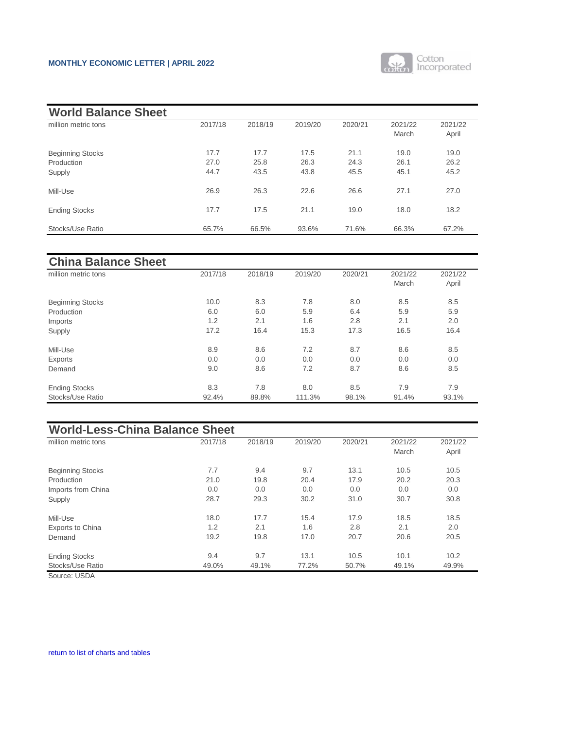

<span id="page-10-0"></span>

| <b>World Balance Sheet</b>                      |                      |                      |                      |                      |                      |                      |
|-------------------------------------------------|----------------------|----------------------|----------------------|----------------------|----------------------|----------------------|
| million metric tons                             | 2017/18              | 2018/19              | 2019/20              | 2020/21              | 2021/22<br>March     | 2021/22<br>April     |
| <b>Beginning Stocks</b><br>Production<br>Supply | 17.7<br>27.0<br>44.7 | 17.7<br>25.8<br>43.5 | 17.5<br>26.3<br>43.8 | 21.1<br>24.3<br>45.5 | 19.0<br>26.1<br>45.1 | 19.0<br>26.2<br>45.2 |
| Mill-Use                                        | 26.9                 | 26.3                 | 22.6                 | 26.6                 | 27.1                 | 27.0                 |
| <b>Ending Stocks</b>                            | 17.7                 | 17.5                 | 21.1                 | 19.0                 | 18.0                 | 18.2                 |
| Stocks/Use Ratio                                | 65.7%                | 66.5%                | 93.6%                | 71.6%                | 66.3%                | 67.2%                |

| <b>China Balance Sheet</b> |         |         |         |         |                  |                  |
|----------------------------|---------|---------|---------|---------|------------------|------------------|
| million metric tons        | 2017/18 | 2018/19 | 2019/20 | 2020/21 | 2021/22<br>March | 2021/22<br>April |
| <b>Beginning Stocks</b>    | 10.0    | 8.3     | 7.8     | 8.0     | 8.5              | 8.5              |
| Production                 | 6.0     | 6.0     | 5.9     | 6.4     | 5.9              | 5.9              |
| Imports                    | 1.2     | 2.1     | 1.6     | 2.8     | 2.1              | 2.0              |
| Supply                     | 17.2    | 16.4    | 15.3    | 17.3    | 16.5             | 16.4             |
| Mill-Use                   | 8.9     | 8.6     | 7.2     | 8.7     | 8.6              | 8.5              |
| Exports                    | 0.0     | 0.0     | 0.0     | 0.0     | 0.0              | 0.0              |
| Demand                     | 9.0     | 8.6     | 7.2     | 8.7     | 8.6              | 8.5              |
| <b>Ending Stocks</b>       | 8.3     | 7.8     | 8.0     | 8.5     | 7.9              | 7.9              |
| Stocks/Use Ratio           | 92.4%   | 89.8%   | 111.3%  | 98.1%   | 91.4%            | 93.1%            |

| <b>World-Less-China Balance Sheet</b> |         |         |         |         |                  |                  |
|---------------------------------------|---------|---------|---------|---------|------------------|------------------|
| million metric tons                   | 2017/18 | 2018/19 | 2019/20 | 2020/21 | 2021/22<br>March | 2021/22<br>April |
| <b>Beginning Stocks</b>               | 7.7     | 9.4     | 9.7     | 13.1    | 10.5             | 10.5             |
| Production                            | 21.0    | 19.8    | 20.4    | 17.9    | 20.2             | 20.3             |
| Imports from China                    | 0.0     | 0.0     | 0.0     | 0.0     | 0.0              | 0.0              |
| Supply                                | 28.7    | 29.3    | 30.2    | 31.0    | 30.7             | 30.8             |
| Mill-Use                              | 18.0    | 17.7    | 15.4    | 17.9    | 18.5             | 18.5             |
| <b>Exports to China</b>               | 1.2     | 2.1     | 1.6     | 2.8     | 2.1              | 2.0              |
| Demand                                | 19.2    | 19.8    | 17.0    | 20.7    | 20.6             | 20.5             |
| <b>Ending Stocks</b>                  | 9.4     | 9.7     | 13.1    | 10.5    | 10.1             | 10.2             |
| Stocks/Use Ratio                      | 49.0%   | 49.1%   | 77.2%   | 50.7%   | 49.1%            | 49.9%            |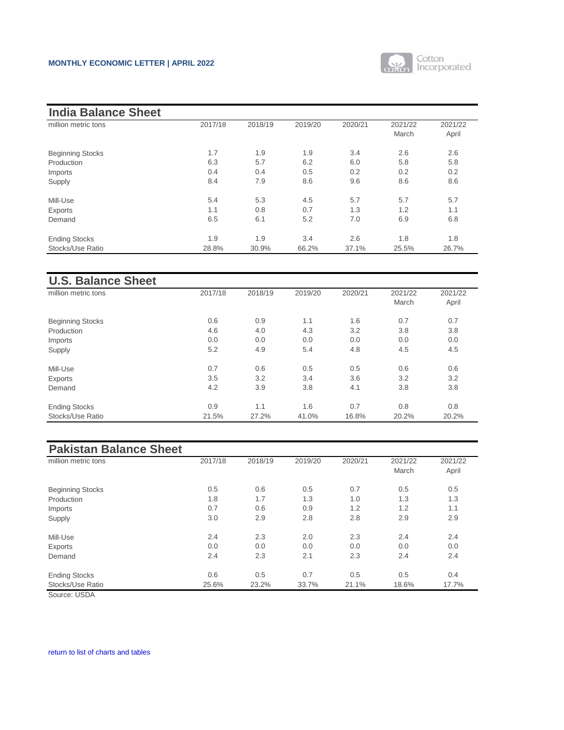

| <b>India Balance Sheet</b> |         |         |         |         |         |         |
|----------------------------|---------|---------|---------|---------|---------|---------|
| million metric tons        | 2017/18 | 2018/19 | 2019/20 | 2020/21 | 2021/22 | 2021/22 |
|                            |         |         |         |         | March   | April   |
| <b>Beginning Stocks</b>    | 1.7     | 1.9     | 1.9     | 3.4     | 2.6     | 2.6     |
| Production                 | 6.3     | 5.7     | 6.2     | 6.0     | 5.8     | 5.8     |
| Imports                    | 0.4     | 0.4     | 0.5     | 0.2     | 0.2     | 0.2     |
| Supply                     | 8.4     | 7.9     | 8.6     | 9.6     | 8.6     | 8.6     |
| Mill-Use                   | 5.4     | 5.3     | 4.5     | 5.7     | 5.7     | 5.7     |
| Exports                    | 1.1     | 0.8     | 0.7     | 1.3     | 1.2     | 1.1     |
| Demand                     | 6.5     | 6.1     | 5.2     | 7.0     | 6.9     | 6.8     |
| <b>Ending Stocks</b>       | 1.9     | 1.9     | 3.4     | 2.6     | 1.8     | 1.8     |
| Stocks/Use Ratio           | 28.8%   | 30.9%   | 66.2%   | 37.1%   | 25.5%   | 26.7%   |

| <b>U.S. Balance Sheet</b> |         |         |         |         |                  |                  |
|---------------------------|---------|---------|---------|---------|------------------|------------------|
| million metric tons       | 2017/18 | 2018/19 | 2019/20 | 2020/21 | 2021/22<br>March | 2021/22<br>April |
| <b>Beginning Stocks</b>   | 0.6     | 0.9     | 1.1     | 1.6     | 0.7              | 0.7              |
| Production                | 4.6     | 4.0     | 4.3     | 3.2     | 3.8              | 3.8              |
| Imports                   | 0.0     | 0.0     | 0.0     | 0.0     | 0.0              | 0.0              |
| Supply                    | 5.2     | 4.9     | 5.4     | 4.8     | 4.5              | 4.5              |
| Mill-Use                  | 0.7     | 0.6     | 0.5     | 0.5     | 0.6              | 0.6              |
| Exports                   | 3.5     | 3.2     | 3.4     | 3.6     | 3.2              | 3.2              |
| Demand                    | 4.2     | 3.9     | 3.8     | 4.1     | 3.8              | 3.8              |
| <b>Ending Stocks</b>      | 0.9     | 1.1     | 1.6     | 0.7     | 0.8              | 0.8              |
| Stocks/Use Ratio          | 21.5%   | 27.2%   | 41.0%   | 16.8%   | 20.2%            | 20.2%            |

# **Pakistan Balance Sheet**

| million metric tons     | 2017/18 | 2018/19 | 2019/20 | 2020/21 | 2021/22 | 2021/22 |
|-------------------------|---------|---------|---------|---------|---------|---------|
|                         |         |         |         |         | March   | April   |
| <b>Beginning Stocks</b> | 0.5     | 0.6     | 0.5     | 0.7     | 0.5     | 0.5     |
| Production              | 1.8     | 1.7     | 1.3     | 1.0     | 1.3     | 1.3     |
| Imports                 | 0.7     | 0.6     | 0.9     | 1.2     | 1.2     | 1.1     |
| Supply                  | 3.0     | 2.9     | 2.8     | 2.8     | 2.9     | 2.9     |
| Mill-Use                | 2.4     | 2.3     | 2.0     | 2.3     | 2.4     | 2.4     |
| Exports                 | 0.0     | 0.0     | 0.0     | 0.0     | 0.0     | 0.0     |
| Demand                  | 2.4     | 2.3     | 2.1     | 2.3     | 2.4     | 2.4     |
| <b>Ending Stocks</b>    | 0.6     | 0.5     | 0.7     | 0.5     | 0.5     | 0.4     |
| Stocks/Use Ratio        | 25.6%   | 23.2%   | 33.7%   | 21.1%   | 18.6%   | 17.7%   |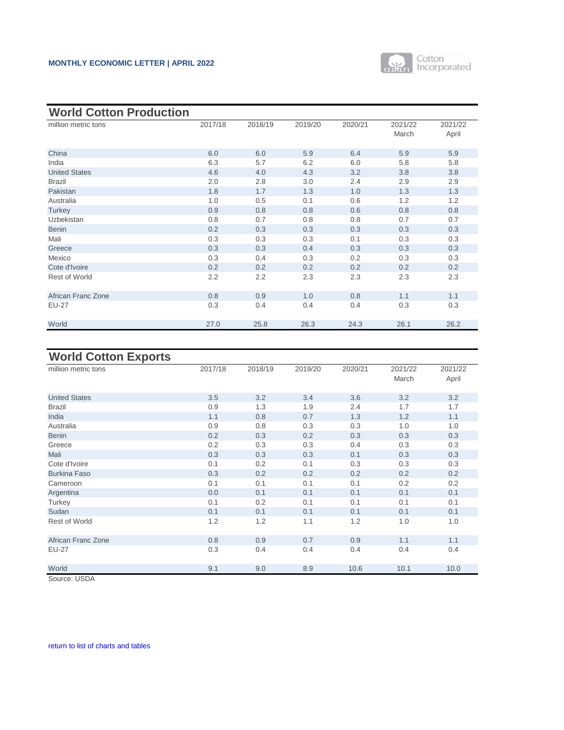

<span id="page-12-0"></span>

| <b>World Cotton Production</b> |         |         |         |         |                  |                  |
|--------------------------------|---------|---------|---------|---------|------------------|------------------|
| million metric tons            | 2017/18 | 2018/19 | 2019/20 | 2020/21 | 2021/22<br>March | 2021/22<br>April |
| China                          | 6.0     | 6.0     | 5.9     | 6.4     | 5.9              | 5.9              |
| India                          | 6.3     | 5.7     | 6.2     | 6.0     | 5.8              | 5.8              |
| <b>United States</b>           | 4.6     | 4.0     | 4.3     | 3.2     | 3.8              | 3.8              |
| <b>Brazil</b>                  | 2.0     | 2.8     | 3.0     | 2.4     | 2.9              | 2.9              |
| Pakistan                       | 1.8     | 1.7     | 1.3     | 1.0     | 1.3              | 1.3              |
| Australia                      | 1.0     | 0.5     | 0.1     | 0.6     | 1.2              | 1.2              |
| Turkey                         | 0.9     | 0.8     | 0.8     | 0.6     | 0.8              | 0.8              |
| Uzbekistan                     | 0.8     | 0.7     | 0.8     | 0.8     | 0.7              | 0.7              |
| <b>Benin</b>                   | 0.2     | 0.3     | 0.3     | 0.3     | 0.3              | 0.3              |
| Mali                           | 0.3     | 0.3     | 0.3     | 0.1     | 0.3              | 0.3              |
| Greece                         | 0.3     | 0.3     | 0.4     | 0.3     | 0.3              | 0.3              |
| Mexico                         | 0.3     | 0.4     | 0.3     | 0.2     | 0.3              | 0.3              |
| Cote d'Ivoire                  | 0.2     | 0.2     | 0.2     | 0.2     | 0.2              | 0.2              |
| <b>Rest of World</b>           | 2.2     | 2.2     | 2.3     | 2.3     | 2.3              | 2.3              |
| African Franc Zone             | 0.8     | 0.9     | 1.0     | 0.8     | 1.1              | 1.1              |
| <b>EU-27</b>                   | 0.3     | 0.4     | 0.4     | 0.4     | 0.3              | 0.3              |
| World                          | 27.0    | 25.8    | 26.3    | 24.3    | 26.1             | 26.2             |

## **World Cotton Exports**

| million metric tons  | 2017/18 | 2018/19 | 2019/20 | 2020/21 | 2021/22<br>March | 2021/22<br>April |
|----------------------|---------|---------|---------|---------|------------------|------------------|
| <b>United States</b> | 3.5     | 3.2     | 3.4     | 3.6     | 3.2              | 3.2              |
| <b>Brazil</b>        | 0.9     | 1.3     | 1.9     | 2.4     | 1.7              | 1.7              |
| India                | 1.1     | 0.8     | 0.7     | 1.3     | 1.2              | 1.1              |
| Australia            | 0.9     | 0.8     | 0.3     | 0.3     | 1.0              | 1.0              |
| <b>Benin</b>         | 0.2     | 0.3     | 0.2     | 0.3     | 0.3              | 0.3              |
| Greece               | 0.2     | 0.3     | 0.3     | 0.4     | 0.3              | 0.3              |
| Mali                 | 0.3     | 0.3     | 0.3     | 0.1     | 0.3              | 0.3              |
| Cote d'Ivoire        | 0.1     | 0.2     | 0.1     | 0.3     | 0.3              | 0.3              |
| <b>Burkina Faso</b>  | 0.3     | 0.2     | 0.2     | 0.2     | 0.2              | 0.2              |
| Cameroon             | 0.1     | 0.1     | 0.1     | 0.1     | 0.2              | 0.2              |
| Argentina            | 0.0     | 0.1     | 0.1     | 0.1     | 0.1              | 0.1              |
| Turkey               | 0.1     | 0.2     | 0.1     | 0.1     | 0.1              | 0.1              |
| Sudan                | 0.1     | 0.1     | 0.1     | 0.1     | 0.1              | 0.1              |
| <b>Rest of World</b> | 1.2     | 1.2     | 1.1     | 1.2     | 1.0              | 1.0              |
| African Franc Zone   | 0.8     | 0.9     | 0.7     | 0.9     | 1.1              | 1.1              |
| <b>EU-27</b>         | 0.3     | 0.4     | 0.4     | 0.4     | 0.4              | 0.4              |
| World                | 9.1     | 9.0     | 8.9     | 10.6    | 10.1             | 10.0             |